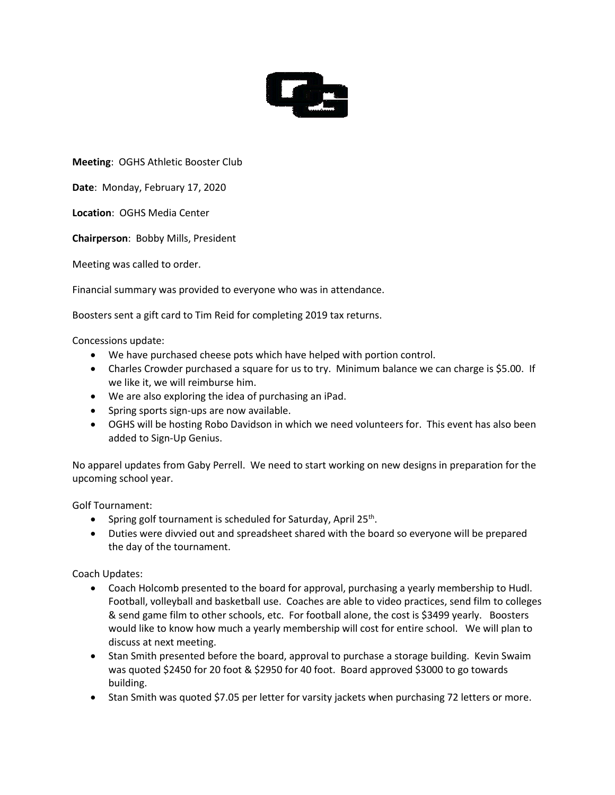

**Meeting**: OGHS Athletic Booster Club

**Date**: Monday, February 17, 2020

**Location**: OGHS Media Center

**Chairperson**: Bobby Mills, President

Meeting was called to order.

Financial summary was provided to everyone who was in attendance.

Boosters sent a gift card to Tim Reid for completing 2019 tax returns.

Concessions update:

- We have purchased cheese pots which have helped with portion control.
- Charles Crowder purchased a square for us to try. Minimum balance we can charge is \$5.00. If we like it, we will reimburse him.
- We are also exploring the idea of purchasing an iPad.
- Spring sports sign-ups are now available.
- OGHS will be hosting Robo Davidson in which we need volunteers for. This event has also been added to Sign-Up Genius.

No apparel updates from Gaby Perrell. We need to start working on new designs in preparation for the upcoming school year.

Golf Tournament:

- Spring golf tournament is scheduled for Saturday, April 25<sup>th</sup>.
- Duties were divvied out and spreadsheet shared with the board so everyone will be prepared the day of the tournament.

Coach Updates:

- Coach Holcomb presented to the board for approval, purchasing a yearly membership to Hudl. Football, volleyball and basketball use. Coaches are able to video practices, send film to colleges & send game film to other schools, etc. For football alone, the cost is \$3499 yearly. Boosters would like to know how much a yearly membership will cost for entire school. We will plan to discuss at next meeting.
- Stan Smith presented before the board, approval to purchase a storage building. Kevin Swaim was quoted \$2450 for 20 foot & \$2950 for 40 foot. Board approved \$3000 to go towards building.
- Stan Smith was quoted \$7.05 per letter for varsity jackets when purchasing 72 letters or more.